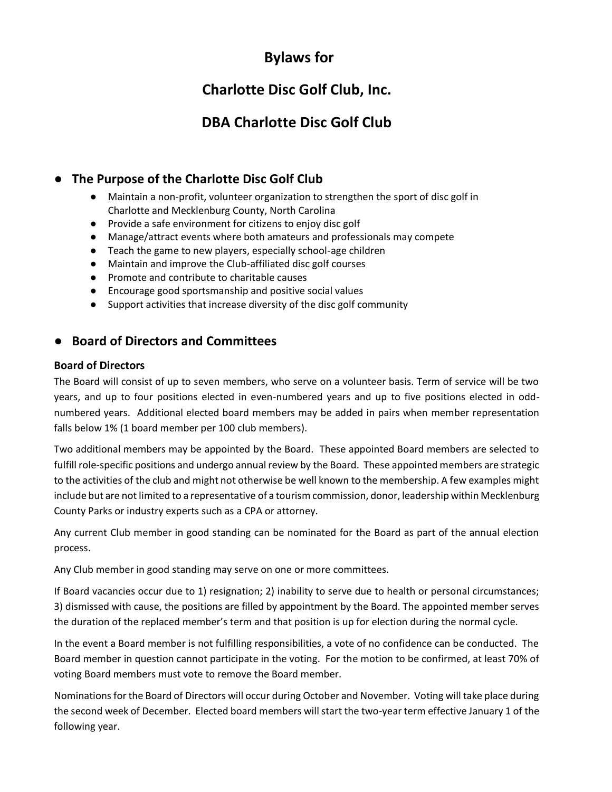# **Bylaws for**

# **Charlotte Disc Golf Club, Inc.**

# **DBA Charlotte Disc Golf Club**

## ● **The Purpose of the Charlotte Disc Golf Club**

- Maintain a non-profit, volunteer organization to strengthen the sport of disc golf in Charlotte and Mecklenburg County, North Carolina
- Provide a safe environment for citizens to enjoy disc golf
- Manage/attract events where both amateurs and professionals may compete
- Teach the game to new players, especially school-age children
- Maintain and improve the Club-affiliated disc golf courses
- Promote and contribute to charitable causes
- Encourage good sportsmanship and positive social values
- Support activities that increase diversity of the disc golf community

## ● **Board of Directors and Committees**

### **Board of Directors**

The Board will consist of up to seven members, who serve on a volunteer basis. Term of service will be two years, and up to four positions elected in even-numbered years and up to five positions elected in oddnumbered years. Additional elected board members may be added in pairs when member representation falls below 1% (1 board member per 100 club members).

Two additional members may be appointed by the Board. These appointed Board members are selected to fulfill role-specific positions and undergo annual review by the Board. These appointed members are strategic to the activities of the club and might not otherwise be well known to the membership. A few examples might include but are not limited to a representative of a tourism commission, donor, leadership within Mecklenburg County Parks or industry experts such as a CPA or attorney.

Any current Club member in good standing can be nominated for the Board as part of the annual election process.

Any Club member in good standing may serve on one or more committees.

If Board vacancies occur due to 1) resignation; 2) inability to serve due to health or personal circumstances; 3) dismissed with cause, the positions are filled by appointment by the Board. The appointed member serves the duration of the replaced member's term and that position is up for election during the normal cycle.

In the event a Board member is not fulfilling responsibilities, a vote of no confidence can be conducted. The Board member in question cannot participate in the voting. For the motion to be confirmed, at least 70% of voting Board members must vote to remove the Board member.

Nominations for the Board of Directors will occur during October and November. Voting will take place during the second week of December. Elected board members will start the two-year term effective January 1 of the following year.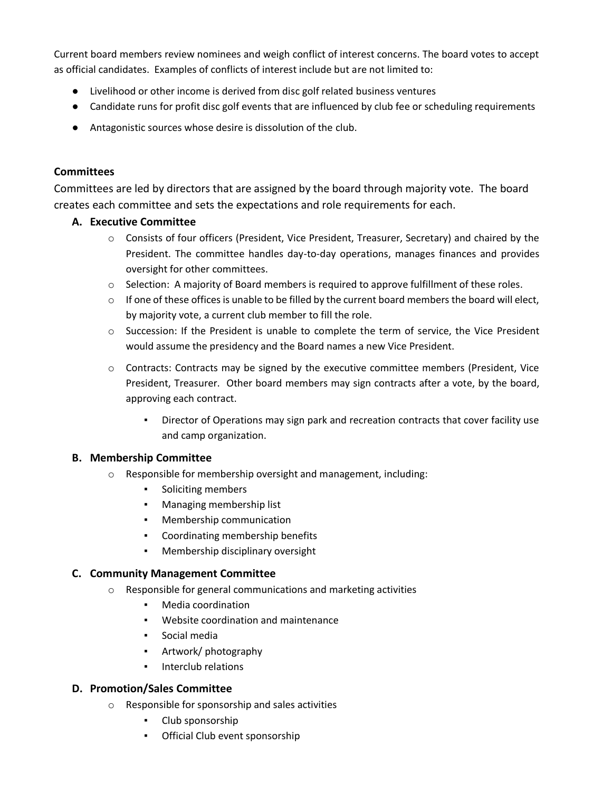Current board members review nominees and weigh conflict of interest concerns. The board votes to accept as official candidates. Examples of conflicts of interest include but are not limited to:

- Livelihood or other income is derived from disc golf related business ventures
- Candidate runs for profit disc golf events that are influenced by club fee or scheduling requirements
- Antagonistic sources whose desire is dissolution of the club.

## **Committees**

Committees are led by directors that are assigned by the board through majority vote. The board creates each committee and sets the expectations and role requirements for each.

## **A. Executive Committee**

- o Consists of four officers (President, Vice President, Treasurer, Secretary) and chaired by the President. The committee handles day-to-day operations, manages finances and provides oversight for other committees.
- $\circ$  Selection: A majority of Board members is required to approve fulfillment of these roles.
- $\circ$  If one of these offices is unable to be filled by the current board members the board will elect, by majority vote, a current club member to fill the role.
- $\circ$  Succession: If the President is unable to complete the term of service, the Vice President would assume the presidency and the Board names a new Vice President.
- $\circ$  Contracts: Contracts may be signed by the executive committee members (President, Vice President, Treasurer. Other board members may sign contracts after a vote, by the board, approving each contract.
	- Director of Operations may sign park and recreation contracts that cover facility use and camp organization.

### **B. Membership Committee**

- o Responsible for membership oversight and management, including:
	- Soliciting members
	- Managing membership list
	- Membership communication
	- Coordinating membership benefits
	- Membership disciplinary oversight

## **C. Community Management Committee**

- o Responsible for general communications and marketing activities
	- Media coordination
	- Website coordination and maintenance
	- Social media
	- Artwork/ photography
	- Interclub relations

### **D. Promotion/Sales Committee**

- o Responsible for sponsorship and sales activities
	- Club sponsorship
	- Official Club event sponsorship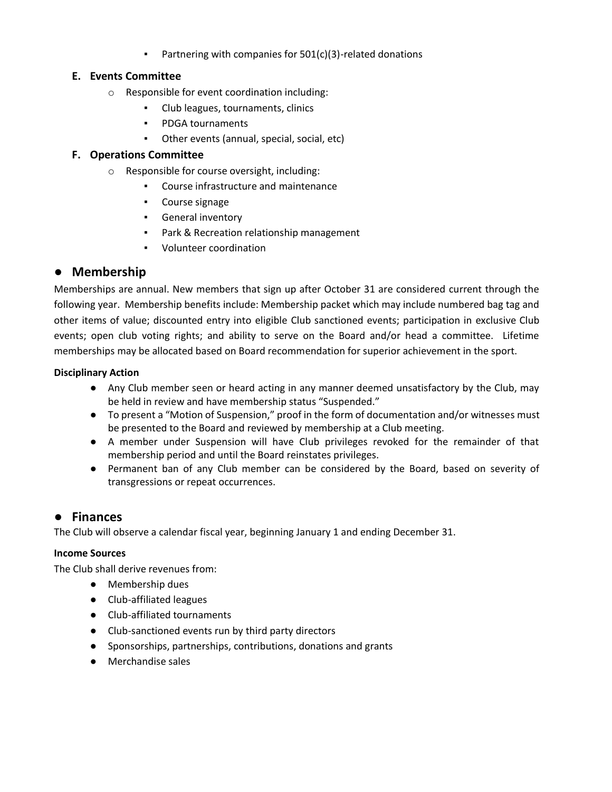Partnering with companies for  $501(c)(3)$ -related donations

## **E. Events Committee**

- o Responsible for event coordination including:
	- Club leagues, tournaments, clinics
	- PDGA tournaments
	- Other events (annual, special, social, etc)

### **F. Operations Committee**

- o Responsible for course oversight, including:
	- Course infrastructure and maintenance
	- Course signage
	- General inventory
	- Park & Recreation relationship management
	- Volunteer coordination

## ● **Membership**

Memberships are annual. New members that sign up after October 31 are considered current through the following year. Membership benefits include: Membership packet which may include numbered bag tag and other items of value; discounted entry into eligible Club sanctioned events; participation in exclusive Club events; open club voting rights; and ability to serve on the Board and/or head a committee. Lifetime memberships may be allocated based on Board recommendation for superior achievement in the sport.

#### **Disciplinary Action**

- Any Club member seen or heard acting in any manner deemed unsatisfactory by the Club, may be held in review and have membership status "Suspended."
- To present a "Motion of Suspension," proof in the form of documentation and/or witnesses must be presented to the Board and reviewed by membership at a Club meeting.
- A member under Suspension will have Club privileges revoked for the remainder of that membership period and until the Board reinstates privileges.
- Permanent ban of any Club member can be considered by the Board, based on severity of transgressions or repeat occurrences.

## ● **Finances**

The Club will observe a calendar fiscal year, beginning January 1 and ending December 31.

#### **Income Sources**

The Club shall derive revenues from:

- Membership dues
- Club-affiliated leagues
- Club-affiliated tournaments
- Club-sanctioned events run by third party directors
- Sponsorships, partnerships, contributions, donations and grants
- Merchandise sales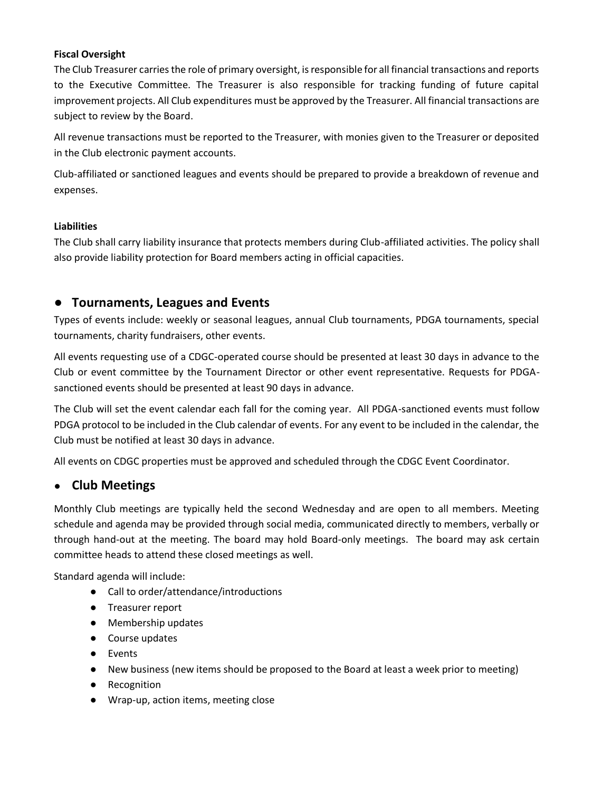#### **Fiscal Oversight**

The Club Treasurer carries the role of primary oversight, is responsible for all financial transactions and reports to the Executive Committee. The Treasurer is also responsible for tracking funding of future capital improvement projects. All Club expenditures must be approved by the Treasurer. All financial transactions are subject to review by the Board.

All revenue transactions must be reported to the Treasurer, with monies given to the Treasurer or deposited in the Club electronic payment accounts.

Club-affiliated or sanctioned leagues and events should be prepared to provide a breakdown of revenue and expenses.

### **Liabilities**

The Club shall carry liability insurance that protects members during Club-affiliated activities. The policy shall also provide liability protection for Board members acting in official capacities.

## ● **Tournaments, Leagues and Events**

Types of events include: weekly or seasonal leagues, annual Club tournaments, PDGA tournaments, special tournaments, charity fundraisers, other events.

All events requesting use of a CDGC-operated course should be presented at least 30 days in advance to the Club or event committee by the Tournament Director or other event representative. Requests for PDGAsanctioned events should be presented at least 90 days in advance.

The Club will set the event calendar each fall for the coming year. All PDGA-sanctioned events must follow PDGA protocol to be included in the Club calendar of events. For any event to be included in the calendar, the Club must be notified at least 30 days in advance.

All events on CDGC properties must be approved and scheduled through the CDGC Event Coordinator.

## ● **Club Meetings**

Monthly Club meetings are typically held the second Wednesday and are open to all members. Meeting schedule and agenda may be provided through social media, communicated directly to members, verbally or through hand-out at the meeting. The board may hold Board-only meetings. The board may ask certain committee heads to attend these closed meetings as well.

Standard agenda will include:

- Call to order/attendance/introductions
- Treasurer report
- Membership updates
- Course updates
- Events
- New business (new items should be proposed to the Board at least a week prior to meeting)
- Recognition
- Wrap-up, action items, meeting close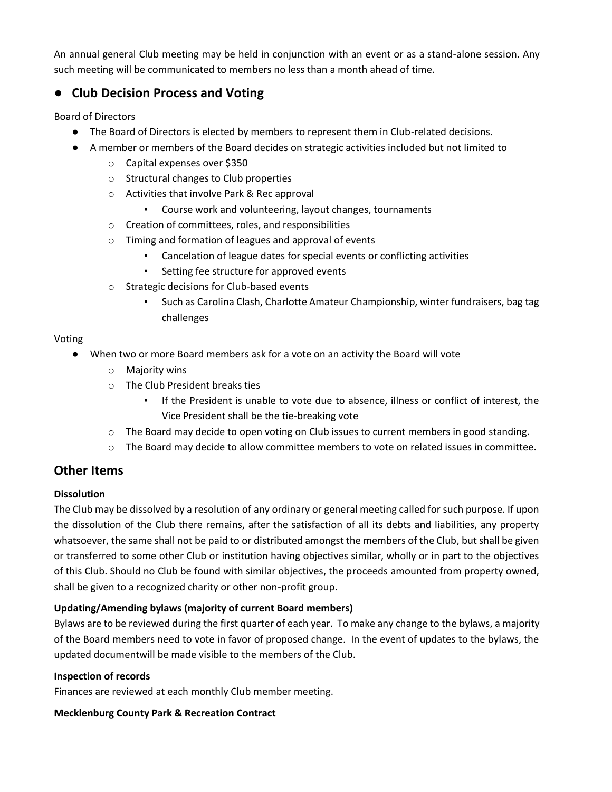An annual general Club meeting may be held in conjunction with an event or as a stand-alone session. Any such meeting will be communicated to members no less than a month ahead of time.

## **Club Decision Process and Voting**

Board of Directors

- The Board of Directors is elected by members to represent them in Club-related decisions.
- A member or members of the Board decides on strategic activities included but not limited to
	- o Capital expenses over \$350
	- o Structural changes to Club properties
	- o Activities that involve Park & Rec approval
		- Course work and volunteering, layout changes, tournaments
	- o Creation of committees, roles, and responsibilities
	- o Timing and formation of leagues and approval of events
		- Cancelation of league dates for special events or conflicting activities
		- Setting fee structure for approved events
	- o Strategic decisions for Club-based events
		- Such as Carolina Clash, Charlotte Amateur Championship, winter fundraisers, bag tag challenges

### Voting

- When two or more Board members ask for a vote on an activity the Board will vote
	- o Majority wins
	- o The Club President breaks ties
		- If the President is unable to vote due to absence, illness or conflict of interest, the Vice President shall be the tie-breaking vote
	- $\circ$  The Board may decide to open voting on Club issues to current members in good standing.
	- $\circ$  The Board may decide to allow committee members to vote on related issues in committee.

## **Other Items**

### **Dissolution**

The Club may be dissolved by a resolution of any ordinary or general meeting called for such purpose. If upon the dissolution of the Club there remains, after the satisfaction of all its debts and liabilities, any property whatsoever, the same shall not be paid to or distributed amongst the members of the Club, but shall be given or transferred to some other Club or institution having objectives similar, wholly or in part to the objectives of this Club. Should no Club be found with similar objectives, the proceeds amounted from property owned, shall be given to a recognized charity or other non-profit group.

### **Updating/Amending bylaws (majority of current Board members)**

Bylaws are to be reviewed during the first quarter of each year. To make any change to the bylaws, a majority of the Board members need to vote in favor of proposed change. In the event of updates to the bylaws, the updated documentwill be made visible to the members of the Club.

### **Inspection of records**

Finances are reviewed at each monthly Club member meeting.

## **Mecklenburg County Park & Recreation Contract**